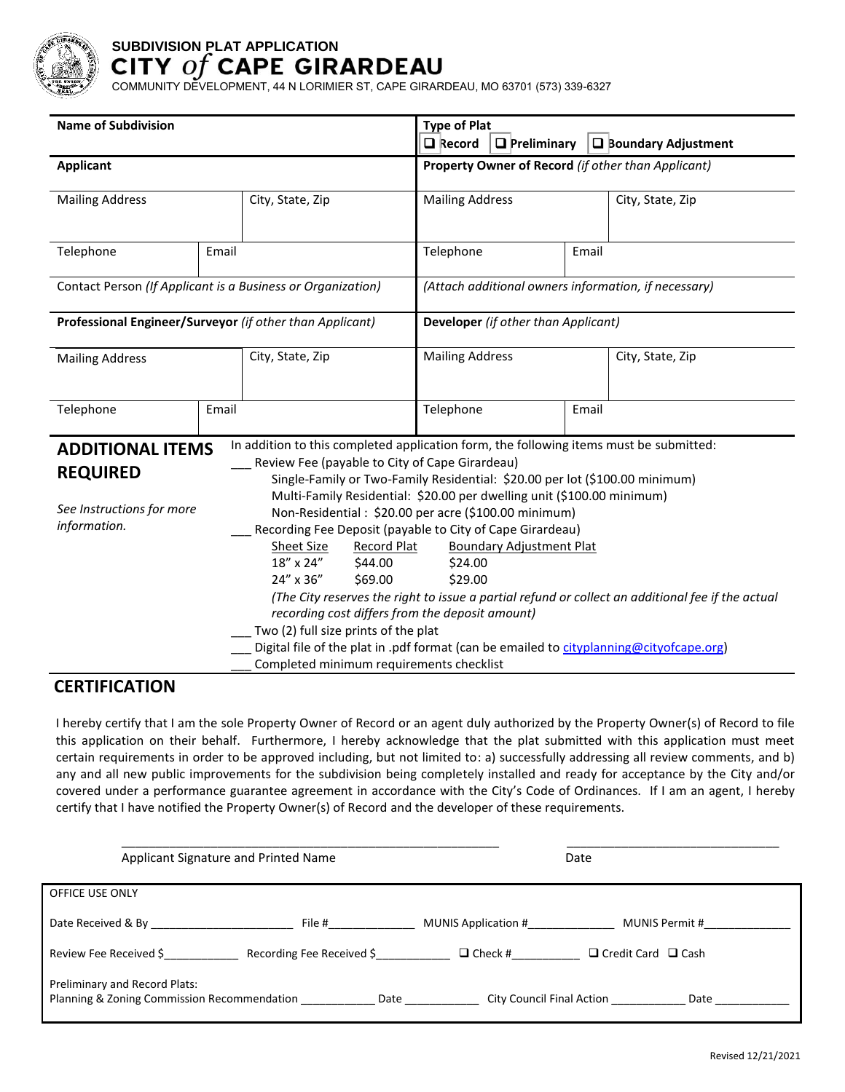

# **SUBDIVISION PLAT APPLICATION**

COMMUNITY DEVELOPMENT, 44 N LORIMIER ST, CAPE GIRARDEAU, MO 63701 (573) 339-6327

| <b>Name of Subdivision</b>                                                                                                |       |                                                                                                                                                                                                                                                                                                         | <b>Type of Plat</b><br>$\Box$ Record<br>$\Box$ Preliminary<br>$\Box$ Boundary Adjustment |       |                                                                                                   |  |
|---------------------------------------------------------------------------------------------------------------------------|-------|---------------------------------------------------------------------------------------------------------------------------------------------------------------------------------------------------------------------------------------------------------------------------------------------------------|------------------------------------------------------------------------------------------|-------|---------------------------------------------------------------------------------------------------|--|
| <b>Applicant</b>                                                                                                          |       |                                                                                                                                                                                                                                                                                                         | Property Owner of Record (if other than Applicant)                                       |       |                                                                                                   |  |
| <b>Mailing Address</b>                                                                                                    |       | City, State, Zip                                                                                                                                                                                                                                                                                        | <b>Mailing Address</b>                                                                   |       | City, State, Zip                                                                                  |  |
| Telephone                                                                                                                 | Email |                                                                                                                                                                                                                                                                                                         | Telephone                                                                                | Email |                                                                                                   |  |
| Contact Person (If Applicant is a Business or Organization)                                                               |       |                                                                                                                                                                                                                                                                                                         | (Attach additional owners information, if necessary)                                     |       |                                                                                                   |  |
| Professional Engineer/Surveyor (if other than Applicant)                                                                  |       |                                                                                                                                                                                                                                                                                                         | Developer (if other than Applicant)                                                      |       |                                                                                                   |  |
| <b>Mailing Address</b>                                                                                                    |       | City, State, Zip                                                                                                                                                                                                                                                                                        | <b>Mailing Address</b>                                                                   |       | City, State, Zip                                                                                  |  |
| Telephone                                                                                                                 | Email |                                                                                                                                                                                                                                                                                                         | Telephone<br>Email                                                                       |       |                                                                                                   |  |
| <b>ADDITIONAL ITEMS</b><br>Review Fee (payable to City of Cape Girardeau)<br><b>REQUIRED</b><br>See Instructions for more |       | In addition to this completed application form, the following items must be submitted:<br>Single-Family or Two-Family Residential: \$20.00 per lot (\$100.00 minimum)<br>Multi-Family Residential: \$20.00 per dwelling unit (\$100.00 minimum)<br>Non-Residential: \$20.00 per acre (\$100.00 minimum) |                                                                                          |       |                                                                                                   |  |
| information.                                                                                                              |       | Recording Fee Deposit (payable to City of Cape Girardeau)<br>Sheet Size<br><b>Record Plat</b><br>18" x 24"<br>\$44.00<br>24" x 36"<br>\$69.00<br>recording cost differs from the deposit amount)<br>Two (2) full size prints of the plat                                                                | <b>Boundary Adjustment Plat</b><br>\$24.00<br>\$29.00                                    |       | (The City reserves the right to issue a partial refund or collect an additional fee if the actual |  |
|                                                                                                                           |       | Digital file of the plat in .pdf format (can be emailed to cityplanning@cityofcape.org)<br>Completed minimum requirements checklist                                                                                                                                                                     |                                                                                          |       |                                                                                                   |  |

## **CERTIFICATION**

I hereby certify that I am the sole Property Owner of Record or an agent duly authorized by the Property Owner(s) of Record to file this application on their behalf. Furthermore, I hereby acknowledge that the plat submitted with this application must meet certain requirements in order to be approved including, but not limited to: a) successfully addressing all review comments, and b) any and all new public improvements for the subdivision being completely installed and ready for acceptance by the City and/or covered under a performance guarantee agreement in accordance with the City's Code of Ordinances. If I am an agent, I hereby certify that I have notified the Property Owner(s) of Record and the developer of these requirements.

| Applicant Signature and Printed Name                                                |                           | Date                |                                   |  |
|-------------------------------------------------------------------------------------|---------------------------|---------------------|-----------------------------------|--|
| OFFICE USE ONLY                                                                     |                           |                     |                                   |  |
| Date Received & By                                                                  | File #                    | MUNIS Application # | MUNIS Permit #                    |  |
| Review Fee Received \$                                                              | Recording Fee Received \$ | $\Box$ Check #      | $\Box$ Credit Card $\Box$ Cash    |  |
| <b>Preliminary and Record Plats:</b><br>Planning & Zoning Commission Recommendation | Date                      |                     | City Council Final Action<br>Date |  |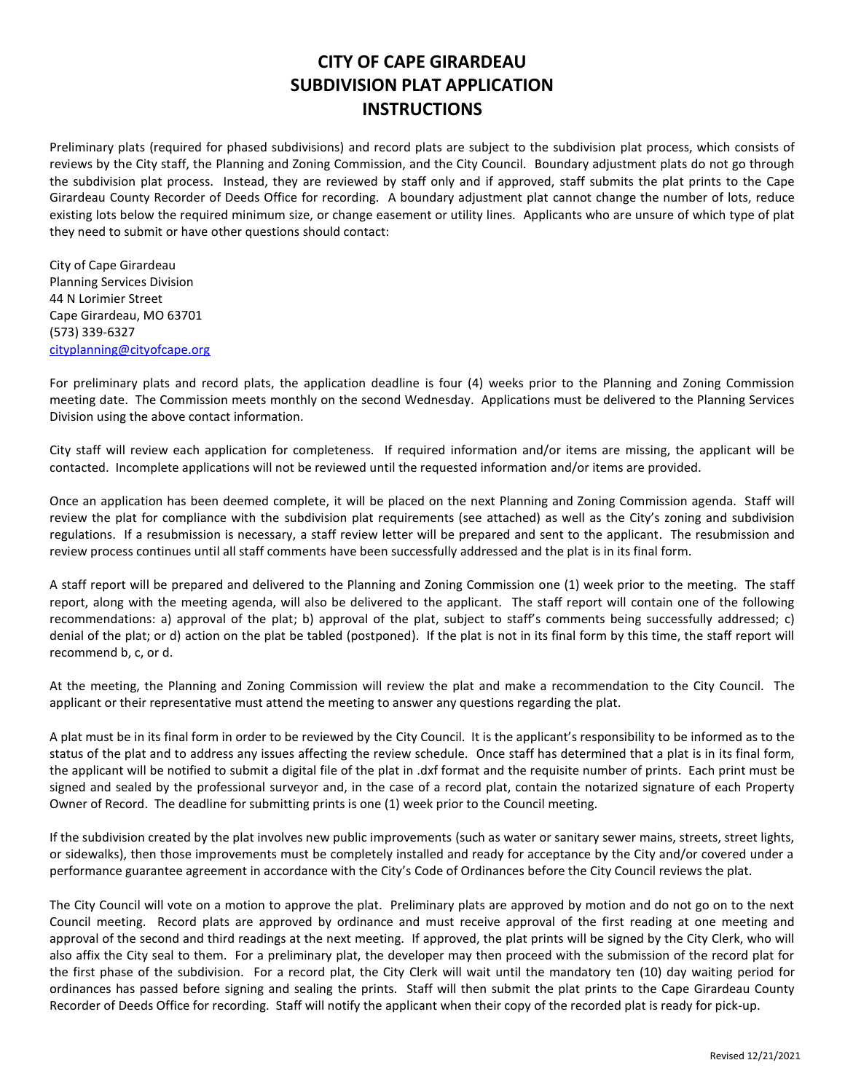## **CITY OF CAPE GIRARDEAU SUBDIVISION PLAT APPLICATION INSTRUCTIONS**

Preliminary plats (required for phased subdivisions) and record plats are subject to the subdivision plat process, which consists of reviews by the City staff, the Planning and Zoning Commission, and the City Council. Boundary adjustment plats do not go through the subdivision plat process. Instead, they are reviewed by staff only and if approved, staff submits the plat prints to the Cape Girardeau County Recorder of Deeds Office for recording. A boundary adjustment plat cannot change the number of lots, reduce existing lots below the required minimum size, or change easement or utility lines. Applicants who are unsure of which type of plat they need to submit or have other questions should contact:

City of Cape Girardeau Planning Services Division 44 N Lorimier Street Cape Girardeau, MO 63701 (573) 339-6327 [cityplanning@cityofcape.org](mailto:cityplanning@cityofcape.org)

For preliminary plats and record plats, the application deadline is four (4) weeks prior to the Planning and Zoning Commission meeting date. The Commission meets monthly on the second Wednesday. Applications must be delivered to the Planning Services Division using the above contact information.

City staff will review each application for completeness. If required information and/or items are missing, the applicant will be contacted. Incomplete applications will not be reviewed until the requested information and/or items are provided.

Once an application has been deemed complete, it will be placed on the next Planning and Zoning Commission agenda. Staff will review the plat for compliance with the subdivision plat requirements (see attached) as well as the City's zoning and subdivision regulations. If a resubmission is necessary, a staff review letter will be prepared and sent to the applicant. The resubmission and review process continues until all staff comments have been successfully addressed and the plat is in its final form.

A staff report will be prepared and delivered to the Planning and Zoning Commission one (1) week prior to the meeting. The staff report, along with the meeting agenda, will also be delivered to the applicant. The staff report will contain one of the following recommendations: a) approval of the plat; b) approval of the plat, subject to staff's comments being successfully addressed; c) denial of the plat; or d) action on the plat be tabled (postponed). If the plat is not in its final form by this time, the staff report will recommend b, c, or d.

At the meeting, the Planning and Zoning Commission will review the plat and make a recommendation to the City Council. The applicant or their representative must attend the meeting to answer any questions regarding the plat.

A plat must be in its final form in order to be reviewed by the City Council. It is the applicant's responsibility to be informed as to the status of the plat and to address any issues affecting the review schedule. Once staff has determined that a plat is in its final form, the applicant will be notified to submit a digital file of the plat in .dxf format and the requisite number of prints. Each print must be signed and sealed by the professional surveyor and, in the case of a record plat, contain the notarized signature of each Property Owner of Record. The deadline for submitting prints is one (1) week prior to the Council meeting.

If the subdivision created by the plat involves new public improvements (such as water or sanitary sewer mains, streets, street lights, or sidewalks), then those improvements must be completely installed and ready for acceptance by the City and/or covered under a performance guarantee agreement in accordance with the City's Code of Ordinances before the City Council reviews the plat.

The City Council will vote on a motion to approve the plat. Preliminary plats are approved by motion and do not go on to the next Council meeting. Record plats are approved by ordinance and must receive approval of the first reading at one meeting and approval of the second and third readings at the next meeting. If approved, the plat prints will be signed by the City Clerk, who will also affix the City seal to them. For a preliminary plat, the developer may then proceed with the submission of the record plat for the first phase of the subdivision. For a record plat, the City Clerk will wait until the mandatory ten (10) day waiting period for ordinances has passed before signing and sealing the prints. Staff will then submit the plat prints to the Cape Girardeau County Recorder of Deeds Office for recording. Staff will notify the applicant when their copy of the recorded plat is ready for pick-up.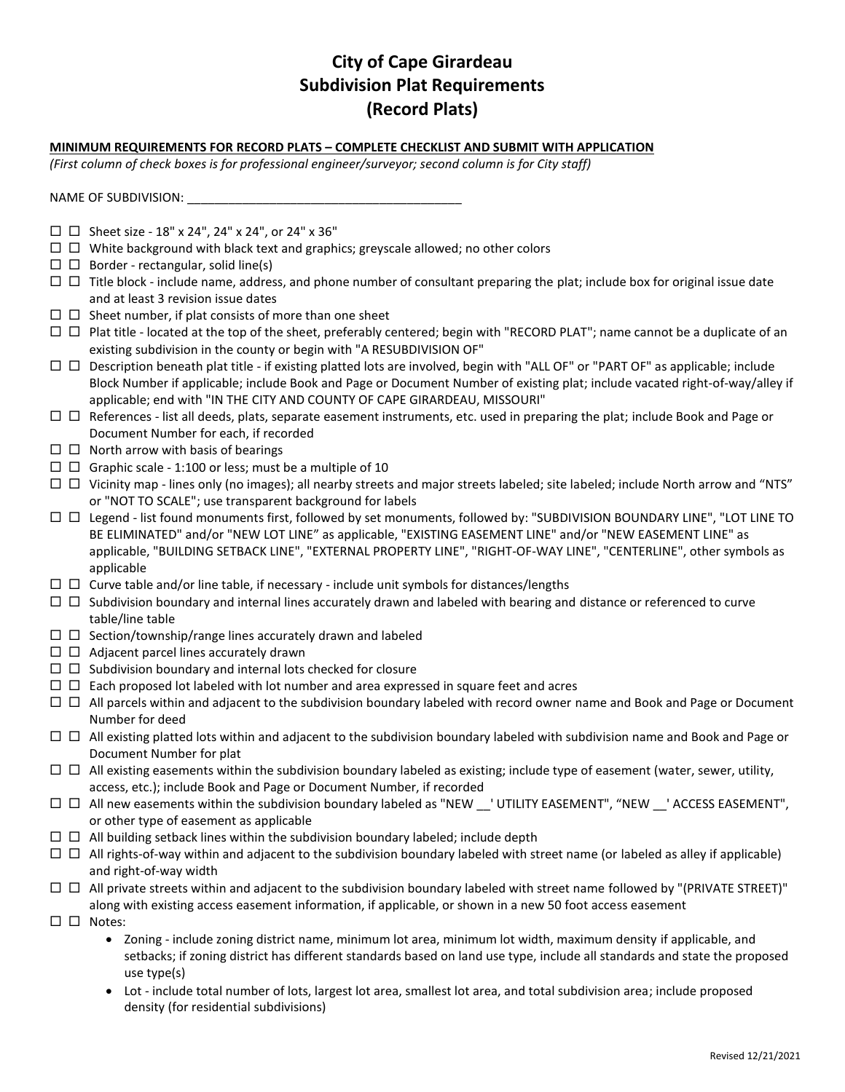## **City of Cape Girardeau Subdivision Plat Requirements (Record Plats)**

#### **MINIMUM REQUIREMENTS FOR RECORD PLATS – COMPLETE CHECKLIST AND SUBMIT WITH APPLICATION**

*(First column of check boxes is for professional engineer/surveyor; second column is for City staff)* 

NAME OF SUBDIVISION: \_\_\_\_\_\_\_\_\_\_\_\_\_\_\_\_\_\_\_\_\_\_\_\_\_\_\_\_\_\_\_\_\_\_\_\_\_\_\_\_

- $\square$   $\square$  Sheet size 18" x 24", 24" x 24", or 24" x 36"
- $\Box$   $\Box$  White background with black text and graphics; greyscale allowed; no other colors
- $\Box$  Border rectangular, solid line(s)
- $\Box$   $\Box$  Title block include name, address, and phone number of consultant preparing the plat; include box for original issue date and at least 3 revision issue dates
- $\Box$   $\Box$  Sheet number, if plat consists of more than one sheet
- □ □ Plat title located at the top of the sheet, preferably centered; begin with "RECORD PLAT"; name cannot be a duplicate of an existing subdivision in the county or begin with "A RESUBDIVISION OF"
- $\Box$   $\Box$  Description beneath plat title if existing platted lots are involved, begin with "ALL OF" or "PART OF" as applicable; include Block Number if applicable; include Book and Page or Document Number of existing plat; include vacated right-of-way/alley if applicable; end with "IN THE CITY AND COUNTY OF CAPE GIRARDEAU, MISSOURI"
- $\Box$   $\Box$  References list all deeds, plats, separate easement instruments, etc. used in preparing the plat; include Book and Page or Document Number for each, if recorded
- $\square$   $\square$  North arrow with basis of bearings
- $\Box$   $\Box$  Graphic scale 1:100 or less; must be a multiple of 10
- $\Box$   $\Box$  Vicinity map lines only (no images); all nearby streets and major streets labeled; site labeled; include North arrow and "NTS" or "NOT TO SCALE"; use transparent background for labels
- Legend list found monuments first, followed by set monuments, followed by: "SUBDIVISION BOUNDARY LINE", "LOT LINE TO BE ELIMINATED" and/or "NEW LOT LINE" as applicable, "EXISTING EASEMENT LINE" and/or "NEW EASEMENT LINE" as applicable, "BUILDING SETBACK LINE", "EXTERNAL PROPERTY LINE", "RIGHT-OF-WAY LINE", "CENTERLINE", other symbols as applicable
- $\Box$   $\Box$  Curve table and/or line table, if necessary include unit symbols for distances/lengths
- $\Box$   $\Box$  Subdivision boundary and internal lines accurately drawn and labeled with bearing and distance or referenced to curve table/line table
- $\Box$   $\Box$  Section/township/range lines accurately drawn and labeled
- $\square$   $\square$  Adjacent parcel lines accurately drawn
- $\Box$   $\Box$  Subdivision boundary and internal lots checked for closure
- $\Box$   $\Box$  Each proposed lot labeled with lot number and area expressed in square feet and acres
- $\Box$   $\Box$  All parcels within and adjacent to the subdivision boundary labeled with record owner name and Book and Page or Document Number for deed
- $\Box$   $\Box$  All existing platted lots within and adjacent to the subdivision boundary labeled with subdivision name and Book and Page or Document Number for plat
- $\Box$   $\Box$  All existing easements within the subdivision boundary labeled as existing; include type of easement (water, sewer, utility, access, etc.); include Book and Page or Document Number, if recorded
- $\Box$   $\Box$  All new easements within the subdivision boundary labeled as "NEW  $\Box$  UTILITY EASEMENT", "NEW  $\Box$  ACCESS EASEMENT", or other type of easement as applicable
- $\Box$   $\Box$  All building setback lines within the subdivision boundary labeled; include depth
- $\Box$   $\Box$  All rights-of-way within and adjacent to the subdivision boundary labeled with street name (or labeled as alley if applicable) and right-of-way width
- $\Box$  All private streets within and adjacent to the subdivision boundary labeled with street name followed by "(PRIVATE STREET)" along with existing access easement information, if applicable, or shown in a new 50 foot access easement
- $\square$   $\square$  Notes:
	- Zoning include zoning district name, minimum lot area, minimum lot width, maximum density if applicable, and setbacks; if zoning district has different standards based on land use type, include all standards and state the proposed use type(s)
	- Lot include total number of lots, largest lot area, smallest lot area, and total subdivision area; include proposed density (for residential subdivisions)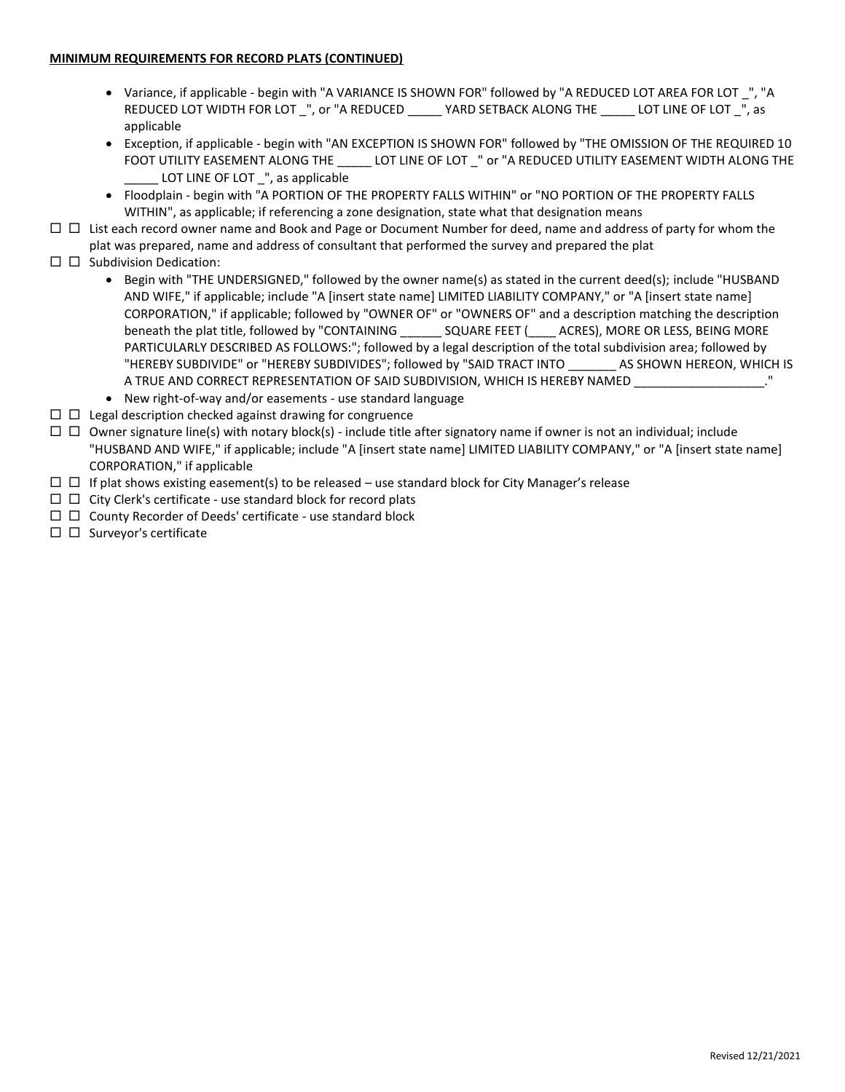#### **MINIMUM REQUIREMENTS FOR RECORD PLATS (CONTINUED)**

- Variance, if applicable begin with "A VARIANCE IS SHOWN FOR" followed by "A REDUCED LOT AREA FOR LOT \_", "A REDUCED LOT WIDTH FOR LOT \_", or "A REDUCED \_\_\_\_\_ YARD SETBACK ALONG THE \_\_\_\_\_ LOT LINE OF LOT \_", as applicable
- Exception, if applicable begin with "AN EXCEPTION IS SHOWN FOR" followed by "THE OMISSION OF THE REQUIRED 10 FOOT UTILITY EASEMENT ALONG THE \_\_\_\_\_ LOT LINE OF LOT \_" or "A REDUCED UTILITY EASEMENT WIDTH ALONG THE LOT LINE OF LOT \_", as applicable
- Floodplain begin with "A PORTION OF THE PROPERTY FALLS WITHIN" or "NO PORTION OF THE PROPERTY FALLS WITHIN", as applicable; if referencing a zone designation, state what that designation means
- $\Box$  List each record owner name and Book and Page or Document Number for deed, name and address of party for whom the plat was prepared, name and address of consultant that performed the survey and prepared the plat
- $\square$   $\square$  Subdivision Dedication:
	- Begin with "THE UNDERSIGNED," followed by the owner name(s) as stated in the current deed(s); include "HUSBAND AND WIFE," if applicable; include "A [insert state name] LIMITED LIABILITY COMPANY," or "A [insert state name] CORPORATION," if applicable; followed by "OWNER OF" or "OWNERS OF" and a description matching the description beneath the plat title, followed by "CONTAINING \_\_\_\_\_\_ SQUARE FEET (\_\_\_\_ ACRES), MORE OR LESS, BEING MORE PARTICULARLY DESCRIBED AS FOLLOWS:"; followed by a legal description of the total subdivision area; followed by "HEREBY SUBDIVIDE" or "HEREBY SUBDIVIDES"; followed by "SAID TRACT INTO \_\_\_\_\_\_\_ AS SHOWN HEREON, WHICH IS A TRUE AND CORRECT REPRESENTATION OF SAID SUBDIVISION, WHICH IS HEREBY NAMED  $\ldots$  ."
	- New right-of-way and/or easements use standard language
- $\Box$   $\Box$  Legal description checked against drawing for congruence
- $\Box$   $\Box$  Owner signature line(s) with notary block(s) include title after signatory name if owner is not an individual; include "HUSBAND AND WIFE," if applicable; include "A [insert state name] LIMITED LIABILITY COMPANY," or "A [insert state name] CORPORATION," if applicable
- $\Box$   $\Box$  If plat shows existing easement(s) to be released use standard block for City Manager's release
- $\Box$   $\Box$  City Clerk's certificate use standard block for record plats
- $\Box$   $\Box$  County Recorder of Deeds' certificate use standard block
- $\square$   $\square$  Surveyor's certificate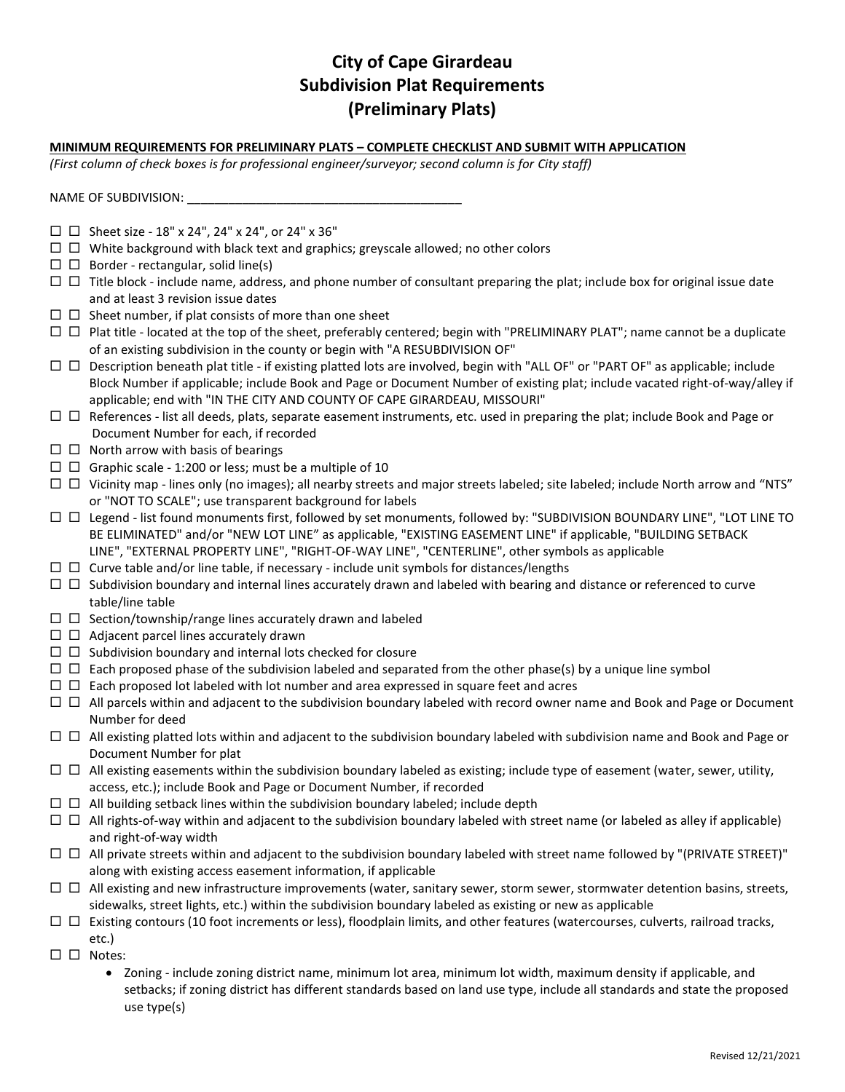## **City of Cape Girardeau Subdivision Plat Requirements (Preliminary Plats)**

#### **MINIMUM REQUIREMENTS FOR PRELIMINARY PLATS – COMPLETE CHECKLIST AND SUBMIT WITH APPLICATION**

*(First column of check boxes is for professional engineer/surveyor; second column is for City staff)* 

NAME OF SUBDIVISION: \_

- $\square$   $\square$  Sheet size 18" x 24", 24" x 24", or 24" x 36"
- $\Box$   $\Box$  White background with black text and graphics; greyscale allowed; no other colors
- $\Box$  Border rectangular, solid line(s)
- $\Box$   $\Box$  Title block include name, address, and phone number of consultant preparing the plat; include box for original issue date and at least 3 revision issue dates
- $\Box$   $\Box$  Sheet number, if plat consists of more than one sheet
- $\Box$   $\Box$  Plat title located at the top of the sheet, preferably centered; begin with "PRELIMINARY PLAT"; name cannot be a duplicate of an existing subdivision in the county or begin with "A RESUBDIVISION OF"
- $\Box$   $\Box$  Description beneath plat title if existing platted lots are involved, begin with "ALL OF" or "PART OF" as applicable; include Block Number if applicable; include Book and Page or Document Number of existing plat; include vacated right-of-way/alley if applicable; end with "IN THE CITY AND COUNTY OF CAPE GIRARDEAU, MISSOURI"
- $\Box$   $\Box$  References list all deeds, plats, separate easement instruments, etc. used in preparing the plat; include Book and Page or Document Number for each, if recorded
- $\Box$   $\Box$  North arrow with basis of bearings
- $\Box$   $\Box$  Graphic scale 1:200 or less; must be a multiple of 10
- $\Box$   $\Box$  Vicinity map lines only (no images); all nearby streets and major streets labeled; site labeled; include North arrow and "NTS" or "NOT TO SCALE"; use transparent background for labels
- Legend list found monuments first, followed by set monuments, followed by: "SUBDIVISION BOUNDARY LINE", "LOT LINE TO BE ELIMINATED" and/or "NEW LOT LINE" as applicable, "EXISTING EASEMENT LINE" if applicable, "BUILDING SETBACK LINE", "EXTERNAL PROPERTY LINE", "RIGHT-OF-WAY LINE", "CENTERLINE", other symbols as applicable
- $\Box$   $\Box$  Curve table and/or line table, if necessary include unit symbols for distances/lengths
- $\Box$   $\Box$  Subdivision boundary and internal lines accurately drawn and labeled with bearing and distance or referenced to curve table/line table
- $\Box$   $\Box$  Section/township/range lines accurately drawn and labeled
- $\square$   $\square$  Adjacent parcel lines accurately drawn
- $\Box$   $\Box$  Subdivision boundary and internal lots checked for closure
- $\Box$   $\Box$  Each proposed phase of the subdivision labeled and separated from the other phase(s) by a unique line symbol
- $\Box$   $\Box$  Each proposed lot labeled with lot number and area expressed in square feet and acres
- □ □ All parcels within and adjacent to the subdivision boundary labeled with record owner name and Book and Page or Document Number for deed
- $\Box$   $\Box$  All existing platted lots within and adjacent to the subdivision boundary labeled with subdivision name and Book and Page or Document Number for plat
- $\Box$   $\Box$  All existing easements within the subdivision boundary labeled as existing; include type of easement (water, sewer, utility, access, etc.); include Book and Page or Document Number, if recorded
- $\Box$   $\Box$  All building setback lines within the subdivision boundary labeled; include depth
- $\Box$  All rights-of-way within and adjacent to the subdivision boundary labeled with street name (or labeled as alley if applicable) and right-of-way width
- $\Box$  All private streets within and adjacent to the subdivision boundary labeled with street name followed by "(PRIVATE STREET)" along with existing access easement information, if applicable
- $\Box$   $\Box$  All existing and new infrastructure improvements (water, sanitary sewer, storm sewer, stormwater detention basins, streets, sidewalks, street lights, etc.) within the subdivision boundary labeled as existing or new as applicable
- $\Box$   $\Box$  Existing contours (10 foot increments or less), floodplain limits, and other features (watercourses, culverts, railroad tracks, etc.)
- $\square$   $\square$  Notes:
	- Zoning include zoning district name, minimum lot area, minimum lot width, maximum density if applicable, and setbacks; if zoning district has different standards based on land use type, include all standards and state the proposed use type(s)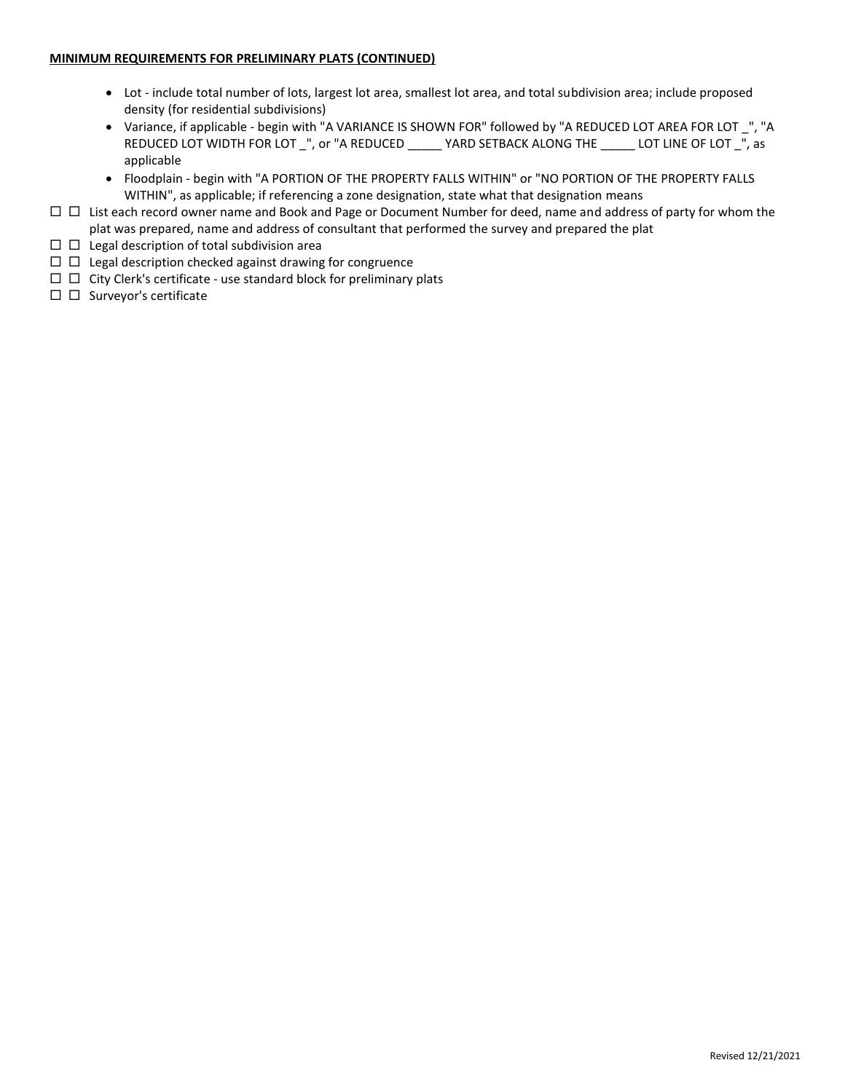- Lot include total number of lots, largest lot area, smallest lot area, and total subdivision area; include proposed density (for residential subdivisions)
- Variance, if applicable begin with "A VARIANCE IS SHOWN FOR" followed by "A REDUCED LOT AREA FOR LOT \_", "A REDUCED LOT WIDTH FOR LOT \_", or "A REDUCED \_\_\_\_\_ YARD SETBACK ALONG THE \_\_\_\_\_ LOT LINE OF LOT \_", as applicable
- Floodplain begin with "A PORTION OF THE PROPERTY FALLS WITHIN" or "NO PORTION OF THE PROPERTY FALLS WITHIN", as applicable; if referencing a zone designation, state what that designation means
- □ □ List each record owner name and Book and Page or Document Number for deed, name and address of party for whom the plat was prepared, name and address of consultant that performed the survey and prepared the plat
- $\square$   $\square$  Legal description of total subdivision area
- $\Box$   $\Box$  Legal description checked against drawing for congruence
- $\Box$   $\Box$  City Clerk's certificate use standard block for preliminary plats
- $\square$   $\square$  Surveyor's certificate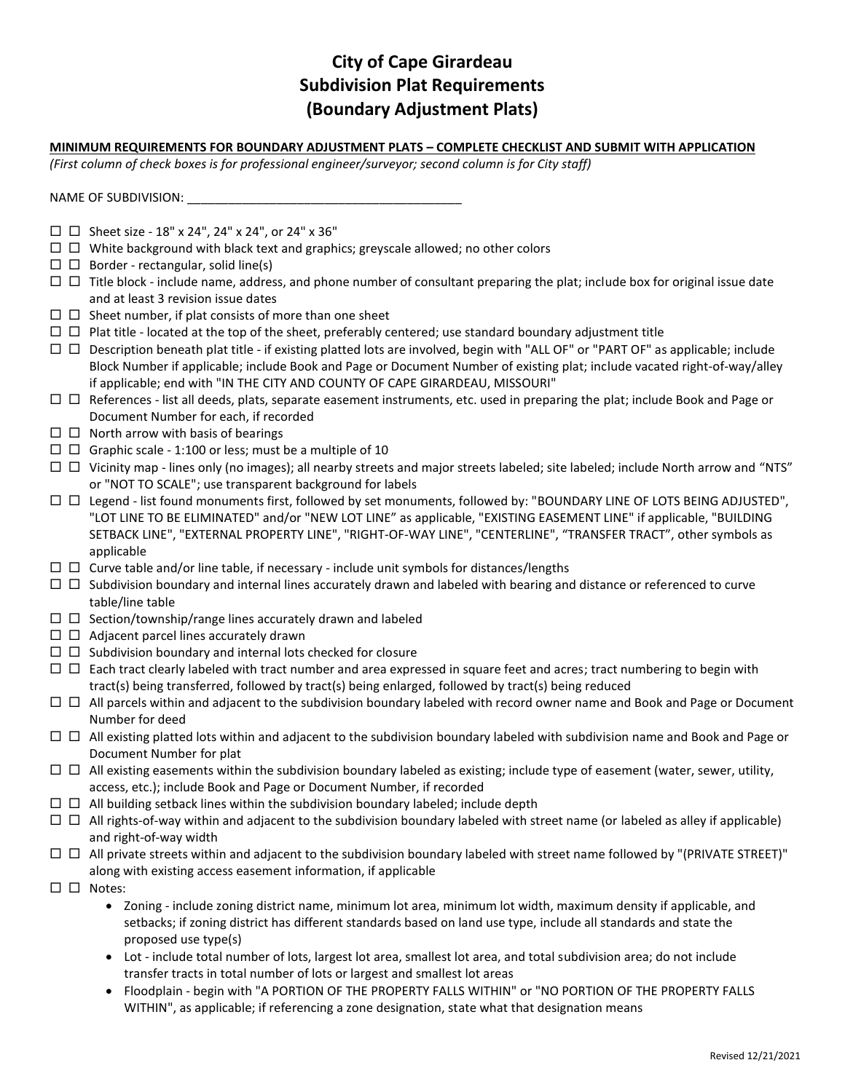## **City of Cape Girardeau Subdivision Plat Requirements (Boundary Adjustment Plats)**

### **MINIMUM REQUIREMENTS FOR BOUNDARY ADJUSTMENT PLATS – COMPLETE CHECKLIST AND SUBMIT WITH APPLICATION**

*(First column of check boxes is for professional engineer/surveyor; second column is for City staff)* 

NAME OF SUBDIVISION: \_

- $\square$   $\square$  Sheet size 18" x 24", 24" x 24", or 24" x 36"
- $\Box$   $\Box$  White background with black text and graphics; greyscale allowed; no other colors
- $\Box$  Border rectangular, solid line(s)
- $\Box$   $\Box$  Title block include name, address, and phone number of consultant preparing the plat; include box for original issue date and at least 3 revision issue dates
- $\Box$   $\Box$  Sheet number, if plat consists of more than one sheet
- $\Box$   $\Box$  Plat title located at the top of the sheet, preferably centered; use standard boundary adjustment title
- $\Box$   $\Box$  Description beneath plat title if existing platted lots are involved, begin with "ALL OF" or "PART OF" as applicable; include Block Number if applicable; include Book and Page or Document Number of existing plat; include vacated right-of-way/alley if applicable; end with "IN THE CITY AND COUNTY OF CAPE GIRARDEAU, MISSOURI"
- $\Box$   $\Box$  References list all deeds, plats, separate easement instruments, etc. used in preparing the plat; include Book and Page or Document Number for each, if recorded
- $\Box$  North arrow with basis of bearings
- $\Box$   $\Box$  Graphic scale 1:100 or less; must be a multiple of 10
- $\Box$   $\Box$  Vicinity map lines only (no images); all nearby streets and major streets labeled; site labeled; include North arrow and "NTS" or "NOT TO SCALE"; use transparent background for labels
- Legend list found monuments first, followed by set monuments, followed by: "BOUNDARY LINE OF LOTS BEING ADJUSTED", "LOT LINE TO BE ELIMINATED" and/or "NEW LOT LINE" as applicable, "EXISTING EASEMENT LINE" if applicable, "BUILDING SETBACK LINE", "EXTERNAL PROPERTY LINE", "RIGHT-OF-WAY LINE", "CENTERLINE", "TRANSFER TRACT", other symbols as applicable
- $\square$   $\square$  Curve table and/or line table, if necessary include unit symbols for distances/lengths
- $\Box$   $\Box$  Subdivision boundary and internal lines accurately drawn and labeled with bearing and distance or referenced to curve table/line table
- $\Box$   $\Box$  Section/township/range lines accurately drawn and labeled
- $\square$   $\square$  Adjacent parcel lines accurately drawn
- $\Box$   $\Box$  Subdivision boundary and internal lots checked for closure
- $\Box$   $\Box$  Each tract clearly labeled with tract number and area expressed in square feet and acres; tract numbering to begin with tract(s) being transferred, followed by tract(s) being enlarged, followed by tract(s) being reduced
- $\Box$   $\Box$  All parcels within and adjacent to the subdivision boundary labeled with record owner name and Book and Page or Document Number for deed
- $\Box$   $\Box$  All existing platted lots within and adjacent to the subdivision boundary labeled with subdivision name and Book and Page or Document Number for plat
- $\Box$   $\Box$  All existing easements within the subdivision boundary labeled as existing; include type of easement (water, sewer, utility, access, etc.); include Book and Page or Document Number, if recorded
- $\Box$   $\Box$  All building setback lines within the subdivision boundary labeled; include depth
- $\Box$  All rights-of-way within and adjacent to the subdivision boundary labeled with street name (or labeled as alley if applicable) and right-of-way width
- $\Box$  All private streets within and adjacent to the subdivision boundary labeled with street name followed by "(PRIVATE STREET)" along with existing access easement information, if applicable
- $\square$   $\square$  Notes:
	- Zoning include zoning district name, minimum lot area, minimum lot width, maximum density if applicable, and setbacks; if zoning district has different standards based on land use type, include all standards and state the proposed use type(s)
	- Lot include total number of lots, largest lot area, smallest lot area, and total subdivision area; do not include transfer tracts in total number of lots or largest and smallest lot areas
	- Floodplain begin with "A PORTION OF THE PROPERTY FALLS WITHIN" or "NO PORTION OF THE PROPERTY FALLS WITHIN", as applicable; if referencing a zone designation, state what that designation means